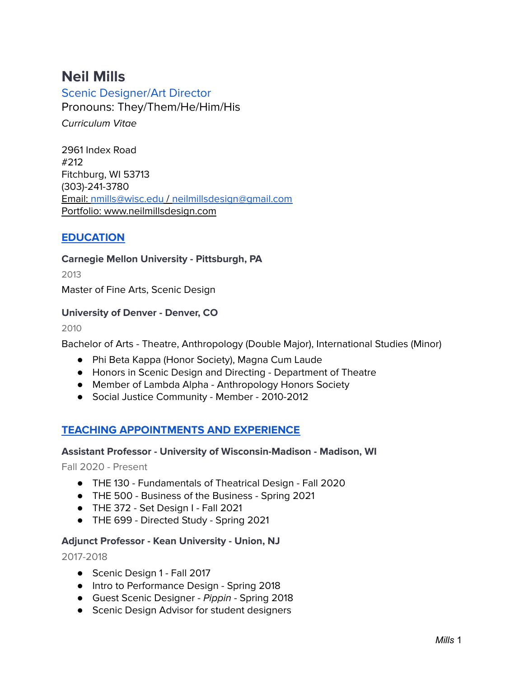# **Neil Mills**

Scenic Designer/Art Director Pronouns: They/Them/He/Him/His Curriculum Vitae

2961 Index Road #212 Fitchburg, WI 53713 (303)-241-3780 Email: [nmills@wisc.edu](mailto:nmills@wisc.edu) / [neilmillsdesign@gmail.com](mailto:neilmillsdesign@gmail.com) Portfolio: www.neilmillsdesign.com

# **EDUCATION**

**Carnegie Mellon University - Pittsburgh, PA**

2013

Master of Fine Arts, Scenic Design

### **University of Denver - Denver, CO**

2010

Bachelor of Arts - Theatre, Anthropology (Double Major), International Studies (Minor)

- Phi Beta Kappa (Honor Society), Magna Cum Laude
- Honors in Scenic Design and Directing Department of Theatre
- Member of Lambda Alpha Anthropology Honors Society
- Social Justice Community Member 2010-2012

# **TEACHING APPOINTMENTS AND EXPERIENCE**

### **Assistant Professor - University of Wisconsin-Madison - Madison, WI**

Fall 2020 - Present

- THE 130 Fundamentals of Theatrical Design Fall 2020
- THE 500 Business of the Business Spring 2021
- THE 372 Set Design I Fall 2021
- THE 699 Directed Study Spring 2021

### **Adjunct Professor - Kean University - Union, NJ**

2017-2018

- Scenic Design 1 Fall 2017
- Intro to Performance Design Spring 2018
- Guest Scenic Designer Pippin Spring 2018
- Scenic Design Advisor for student designers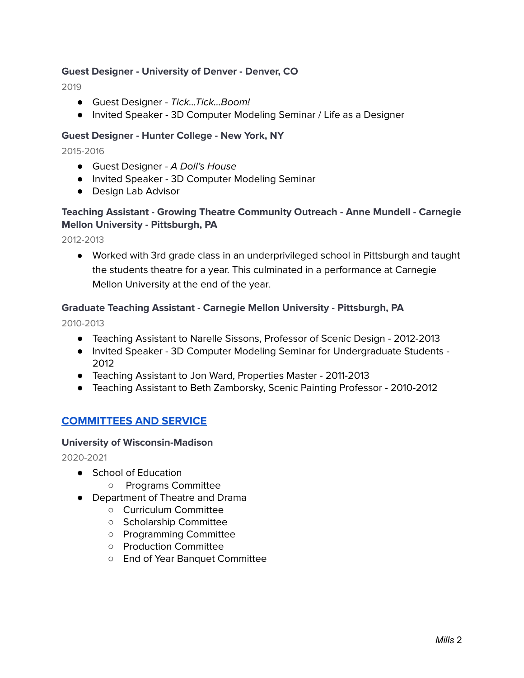### **Guest Designer - University of Denver - Denver, CO**

2019

- Guest Designer Tick...Tick...Boom!
- Invited Speaker 3D Computer Modeling Seminar / Life as a Designer

### **Guest Designer - Hunter College - New York, NY**

#### 2015-2016

- Guest Designer A Doll's House
- Invited Speaker 3D Computer Modeling Seminar
- Design Lab Advisor

# **Teaching Assistant - Growing Theatre Community Outreach - Anne Mundell - Carnegie Mellon University - Pittsburgh, PA**

2012-2013

● Worked with 3rd grade class in an underprivileged school in Pittsburgh and taught the students theatre for a year. This culminated in a performance at Carnegie Mellon University at the end of the year.

### **Graduate Teaching Assistant - Carnegie Mellon University - Pittsburgh, PA**

2010-2013

- Teaching Assistant to Narelle Sissons, Professor of Scenic Design 2012-2013
- Invited Speaker 3D Computer Modeling Seminar for Undergraduate Students 2012
- Teaching Assistant to Jon Ward, Properties Master 2011-2013
- Teaching Assistant to Beth Zamborsky, Scenic Painting Professor 2010-2012

### **COMMITTEES AND SERVICE**

### **University of Wisconsin-Madison**

2020-2021

- School of Education
	- Programs Committee
- Department of Theatre and Drama
	- Curriculum Committee
	- Scholarship Committee
	- Programming Committee
	- Production Committee
	- End of Year Banquet Committee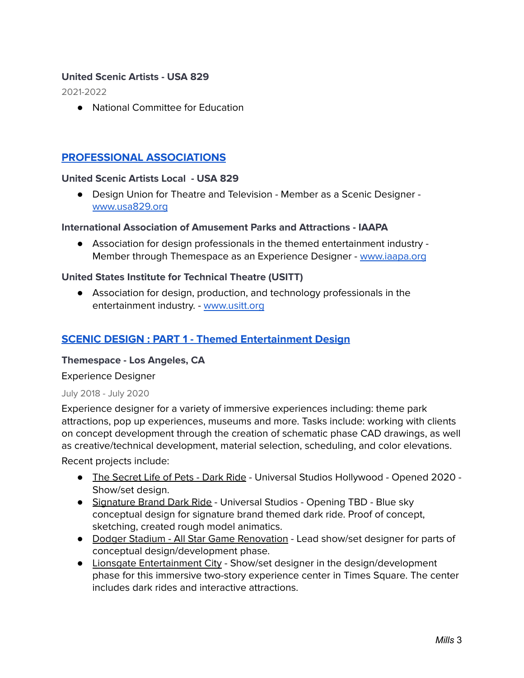### **United Scenic Artists - USA 829**

2021-2022

● National Committee for Education

# **PROFESSIONAL ASSOCIATIONS**

### **United Scenic Artists Local - USA 829**

● Design Union for Theatre and Television - Member as a Scenic Designer [www.usa829.org](http://www.usa829.org)

#### **International Association of Amusement Parks and Attractions - IAAPA**

● Association for design professionals in the themed entertainment industry - Member through Themespace as an Experience Designer - [www.iaapa.org](http://www.iaapa.org)

### **United States Institute for Technical Theatre (USITT)**

● Association for design, production, and technology professionals in the entertainment industry. - [www.usitt.org](http://www.usitt.org)

# **SCENIC DESIGN : PART 1 - Themed Entertainment Design**

### **Themespace - Los Angeles, CA**

Experience Designer

#### July 2018 - July 2020

Experience designer for a variety of immersive experiences including: theme park attractions, pop up experiences, museums and more. Tasks include: working with clients on concept development through the creation of schematic phase CAD drawings, as well as creative/technical development, material selection, scheduling, and color elevations.

Recent projects include:

- The Secret Life of Pets Dark Ride Universal Studios Hollywood Opened 2020 -Show/set design.
- Signature Brand Dark Ride Universal Studios Opening TBD Blue sky conceptual design for signature brand themed dark ride. Proof of concept, sketching, created rough model animatics.
- Dodger Stadium All Star Game Renovation Lead show/set designer for parts of conceptual design/development phase.
- Lionsgate Entertainment City Show/set designer in the design/development phase for this immersive two-story experience center in Times Square. The center includes dark rides and interactive attractions.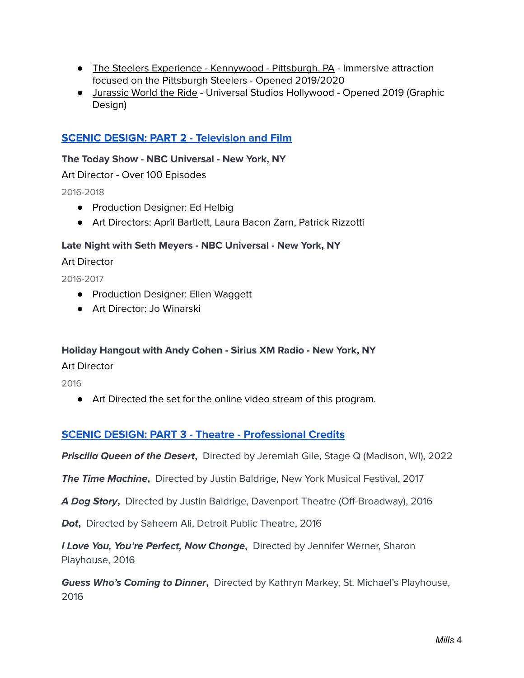- The Steelers Experience Kennywood Pittsburgh, PA Immersive attraction focused on the Pittsburgh Steelers - Opened 2019/2020
- Jurassic World the Ride Universal Studios Hollywood Opened 2019 (Graphic Design)

# **SCENIC DESIGN: PART 2 - Television and Film**

### **The Today Show - NBC Universal - New York, NY**

Art Director - Over 100 Episodes

2016-2018

- Production Designer: Ed Helbig
- Art Directors: April Bartlett, Laura Bacon Zarn, Patrick Rizzotti

### **Late Night with Seth Meyers - NBC Universal - New York, NY**

Art Director

2016-2017

- Production Designer: Ellen Waggett
- Art Director: Jo Winarski

### **Holiday Hangout with Andy Cohen - Sirius XM Radio - New York, NY**

Art Director

2016

● Art Directed the set for the online video stream of this program.

# **SCENIC DESIGN: PART 3 - Theatre - Professional Credits**

**Priscilla Queen of the Desert,** Directed by Jeremiah Gile, Stage Q (Madison, WI), 2022

**The Time Machine,** Directed by Justin Baldrige, New York Musical Festival, 2017

**A Dog Story,** Directed by Justin Baldrige, Davenport Theatre (Off-Broadway), 2016

**Dot,** Directed by Saheem Ali, Detroit Public Theatre, 2016

**I Love You, You're Perfect, Now Change,** Directed by Jennifer Werner, Sharon Playhouse, 2016

**Guess Who's Coming to Dinner,** Directed by Kathryn Markey, St. Michael's Playhouse, 2016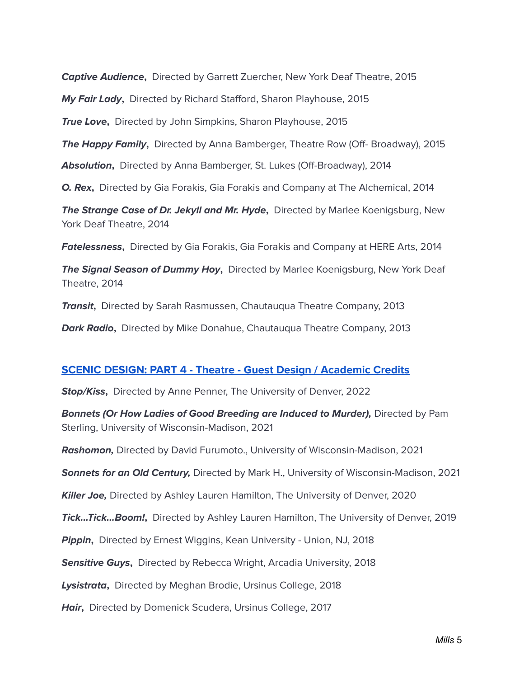**Captive Audience,** Directed by Garrett Zuercher, New York Deaf Theatre, 2015

**My Fair Lady,** Directed by Richard Stafford, Sharon Playhouse, 2015

**True Love,** Directed by John Simpkins, Sharon Playhouse, 2015

**The Happy Family,** Directed by Anna Bamberger, Theatre Row (Off- Broadway), 2015

**Absolution,** Directed by Anna Bamberger, St. Lukes (Off-Broadway), 2014

**O. Rex,** Directed by Gia Forakis, Gia Forakis and Company at The Alchemical, 2014

**The Strange Case of Dr. Jekyll and Mr. Hyde,** Directed by Marlee Koenigsburg, New York Deaf Theatre, 2014

**Fatelessness,** Directed by Gia Forakis, Gia Forakis and Company at HERE Arts, 2014

**The Signal Season of Dummy Hoy,** Directed by Marlee Koenigsburg, New York Deaf Theatre, 2014

**Transit,** Directed by Sarah Rasmussen, Chautauqua Theatre Company, 2013

**Dark Radio,** Directed by Mike Donahue, Chautauqua Theatre Company, 2013

### **SCENIC DESIGN: PART 4 - Theatre - Guest Design / Academic Credits**

**Stop/Kiss,** Directed by Anne Penner, The University of Denver, 2022

**Bonnets (Or How Ladies of Good Breeding are Induced to Murder),** Directed by Pam Sterling, University of Wisconsin-Madison, 2021

**Rashomon,** Directed by David Furumoto., University of Wisconsin-Madison, 2021

**Sonnets for an Old Century,** Directed by Mark H., University of Wisconsin-Madison, 2021

**Killer Joe,** Directed by Ashley Lauren Hamilton, The University of Denver, 2020

**Tick...Tick...Boom!,** Directed by Ashley Lauren Hamilton, The University of Denver, 2019

**Pippin,** Directed by Ernest Wiggins, Kean University - Union, NJ, 2018

**Sensitive Guys,** Directed by Rebecca Wright, Arcadia University, 2018

**Lysistrata,** Directed by Meghan Brodie, Ursinus College, 2018

**Hair,** Directed by Domenick Scudera, Ursinus College, 2017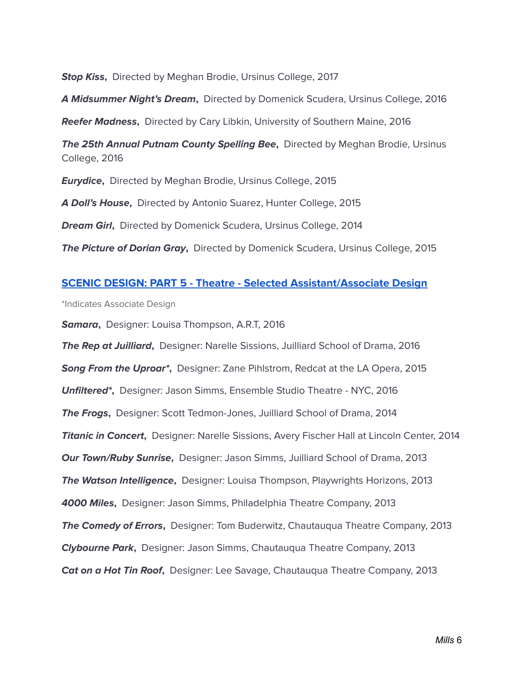**Stop Kiss,** Directed by Meghan Brodie, Ursinus College, 2017

**A Midsummer Night's Dream,** Directed by Domenick Scudera, Ursinus College, 2016

**Reefer Madness,** Directed by Cary Libkin, University of Southern Maine, 2016

**The 25th Annual Putnam County Spelling Bee,** Directed by Meghan Brodie, Ursinus College, 2016

**Eurydice,** Directed by Meghan Brodie, Ursinus College, 2015

**A Doll's House,** Directed by Antonio Suarez, Hunter College, 2015

**Dream Girl,** Directed by Domenick Scudera, Ursinus College, 2014

**The Picture of Dorian Gray,** Directed by Domenick Scudera, Ursinus College, 2015

### **SCENIC DESIGN: PART 5 - Theatre - Selected Assistant/Associate Design**

\*Indicates Associate Design

**Samara,** Designer: Louisa Thompson, A.R.T, 2016

**The Rep at Juilliard,** Designer: Narelle Sissions, Juilliard School of Drama, 2016 **Song From the Uproar\*,** Designer: Zane Pihlstrom, Redcat at the LA Opera, 2015 **Unfiltered\*,** Designer: Jason Simms, Ensemble Studio Theatre - NYC, 2016 **The Frogs,** Designer: Scott Tedmon-Jones, Juilliard School of Drama, 2014 **Titanic in Concert,** Designer: Narelle Sissions, Avery Fischer Hall at Lincoln Center, 2014 **Our Town/Ruby Sunrise,** Designer: Jason Simms, Juilliard School of Drama, 2013 **The Watson Intelligence,** Designer: Louisa Thompson, Playwrights Horizons, 2013 **4000 Miles,** Designer: Jason Simms, Philadelphia Theatre Company, 2013 **The Comedy of Errors,** Designer: Tom Buderwitz, Chautauqua Theatre Company, 2013 **Clybourne Park,** Designer: Jason Simms, Chautauqua Theatre Company, 2013 **Cat on a Hot Tin Roof,** Designer: Lee Savage, Chautauqua Theatre Company, 2013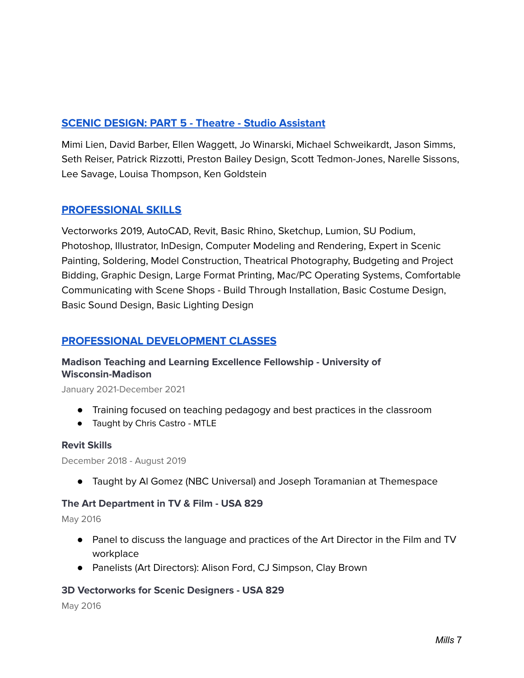# **SCENIC DESIGN: PART 5 - Theatre - Studio Assistant**

Mimi Lien, David Barber, Ellen Waggett, Jo Winarski, Michael Schweikardt, Jason Simms, Seth Reiser, Patrick Rizzotti, Preston Bailey Design, Scott Tedmon-Jones, Narelle Sissons, Lee Savage, Louisa Thompson, Ken Goldstein

# **PROFESSIONAL SKILLS**

Vectorworks 2019, AutoCAD, Revit, Basic Rhino, Sketchup, Lumion, SU Podium, Photoshop, Illustrator, InDesign, Computer Modeling and Rendering, Expert in Scenic Painting, Soldering, Model Construction, Theatrical Photography, Budgeting and Project Bidding, Graphic Design, Large Format Printing, Mac/PC Operating Systems, Comfortable Communicating with Scene Shops - Build Through Installation, Basic Costume Design, Basic Sound Design, Basic Lighting Design

# **PROFESSIONAL DEVELOPMENT CLASSES**

# **Madison Teaching and Learning Excellence Fellowship - University of Wisconsin-Madison**

January 2021-December 2021

- Training focused on teaching pedagogy and best practices in the classroom
- Taught by Chris Castro MTLE

### **Revit Skills**

December 2018 - August 2019

● Taught by Al Gomez (NBC Universal) and Joseph Toramanian at Themespace

### **The Art Department in TV & Film - USA 829**

May 2016

- Panel to discuss the language and practices of the Art Director in the Film and TV workplace
- Panelists (Art Directors): Alison Ford, CJ Simpson, Clay Brown

### **3D Vectorworks for Scenic Designers - USA 829**

May 2016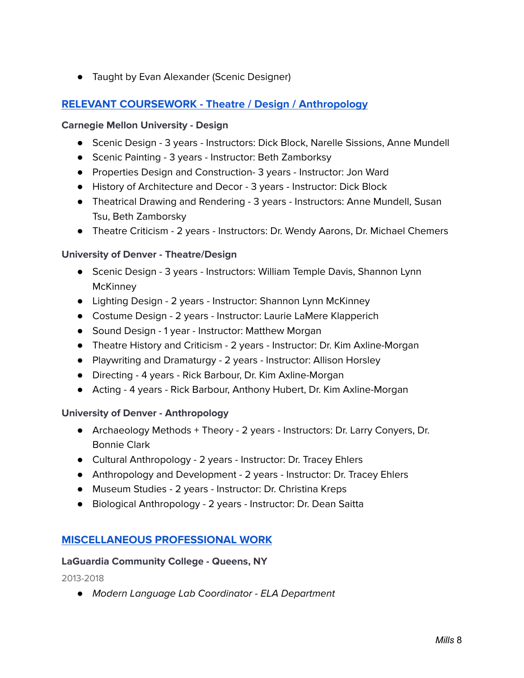● Taught by Evan Alexander (Scenic Designer)

# **RELEVANT COURSEWORK - Theatre / Design / Anthropology**

### **Carnegie Mellon University - Design**

- Scenic Design 3 years Instructors: Dick Block, Narelle Sissions, Anne Mundell
- Scenic Painting 3 years Instructor: Beth Zamborksy
- Properties Design and Construction- 3 years Instructor: Jon Ward
- History of Architecture and Decor 3 years Instructor: Dick Block
- Theatrical Drawing and Rendering 3 years Instructors: Anne Mundell, Susan Tsu, Beth Zamborsky
- Theatre Criticism 2 years Instructors: Dr. Wendy Aarons, Dr. Michael Chemers

### **University of Denver - Theatre/Design**

- Scenic Design 3 years Instructors: William Temple Davis, Shannon Lynn **McKinney**
- Lighting Design 2 years Instructor: Shannon Lynn McKinney
- Costume Design 2 years Instructor: Laurie LaMere Klapperich
- Sound Design 1 year Instructor: Matthew Morgan
- Theatre History and Criticism 2 years Instructor: Dr. Kim Axline-Morgan
- Playwriting and Dramaturgy 2 years Instructor: Allison Horsley
- Directing 4 years Rick Barbour, Dr. Kim Axline-Morgan
- Acting 4 years Rick Barbour, Anthony Hubert, Dr. Kim Axline-Morgan

### **University of Denver - Anthropology**

- Archaeology Methods + Theory 2 years Instructors: Dr. Larry Conyers, Dr. Bonnie Clark
- Cultural Anthropology 2 years Instructor: Dr. Tracey Ehlers
- Anthropology and Development 2 years Instructor: Dr. Tracey Ehlers
- Museum Studies 2 years Instructor: Dr. Christina Kreps
- Biological Anthropology 2 years Instructor: Dr. Dean Saitta

# **MISCELLANEOUS PROFESSIONAL WORK**

### **LaGuardia Community College - Queens, NY**

2013-2018

*●* Modern Language Lab Coordinator - ELA Department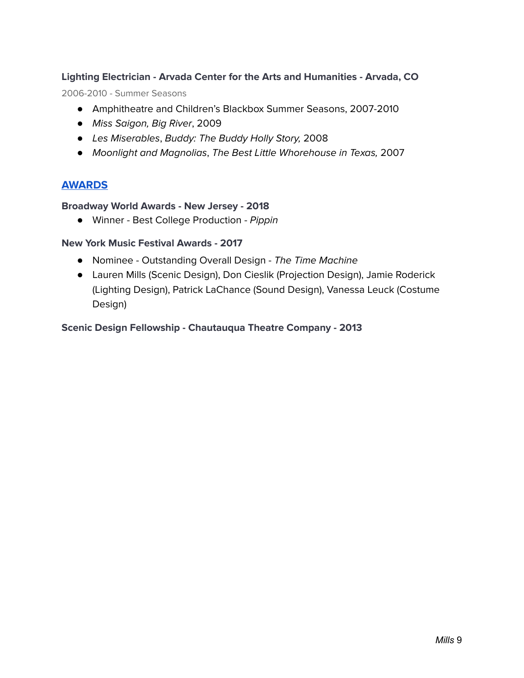# **Lighting Electrician - Arvada Center for the Arts and Humanities - Arvada, CO**

2006-2010 - Summer Seasons

- Amphitheatre and Children's Blackbox Summer Seasons, 2007-2010
- Miss Saigon, Big River, 2009
- Les Miserables, Buddy: The Buddy Holly Story, 2008
- Moonlight and Magnolias, The Best Little Whorehouse in Texas, 2007

# **AWARDS**

### **Broadway World Awards - New Jersey - 2018**

● Winner - Best College Production - Pippin

### **New York Music Festival Awards - 2017**

- Nominee Outstanding Overall Design The Time Machine
- Lauren Mills (Scenic Design), Don Cieslik (Projection Design), Jamie Roderick (Lighting Design), Patrick LaChance (Sound Design), Vanessa Leuck (Costume Design)

### **Scenic Design Fellowship - Chautauqua Theatre Company - 2013**